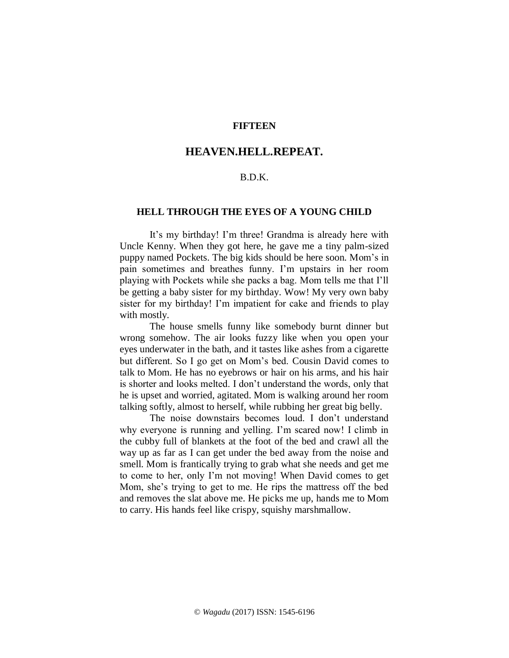# **FIFTEEN**

# **HEAVEN.HELL.REPEAT.**

# B.D.K.

### **HELL THROUGH THE EYES OF A YOUNG CHILD**

It's my birthday! I'm three! Grandma is already here with Uncle Kenny. When they got here, he gave me a tiny palm-sized puppy named Pockets. The big kids should be here soon. Mom's in pain sometimes and breathes funny. I'm upstairs in her room playing with Pockets while she packs a bag. Mom tells me that I'll be getting a baby sister for my birthday. Wow! My very own baby sister for my birthday! I'm impatient for cake and friends to play with mostly.

The house smells funny like somebody burnt dinner but wrong somehow. The air looks fuzzy like when you open your eyes underwater in the bath, and it tastes like ashes from a cigarette but different. So I go get on Mom's bed. Cousin David comes to talk to Mom. He has no eyebrows or hair on his arms, and his hair is shorter and looks melted. I don't understand the words, only that he is upset and worried, agitated. Mom is walking around her room talking softly, almost to herself, while rubbing her great big belly.

The noise downstairs becomes loud. I don't understand why everyone is running and yelling. I'm scared now! I climb in the cubby full of blankets at the foot of the bed and crawl all the way up as far as I can get under the bed away from the noise and smell. Mom is frantically trying to grab what she needs and get me to come to her, only I'm not moving! When David comes to get Mom, she's trying to get to me. He rips the mattress off the bed and removes the slat above me. He picks me up, hands me to Mom to carry. His hands feel like crispy, squishy marshmallow.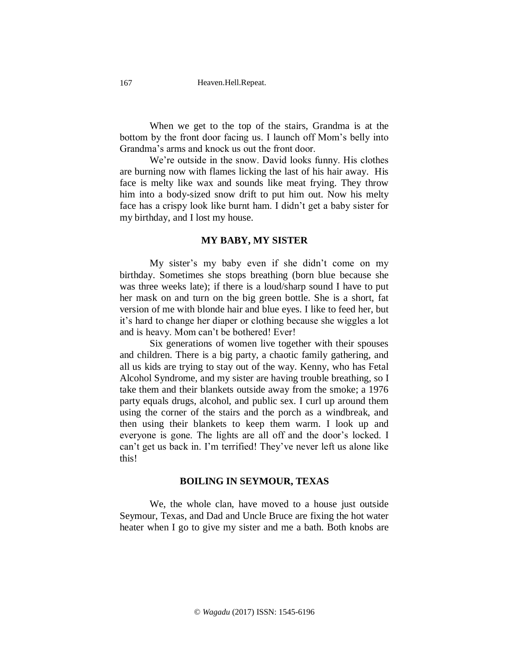When we get to the top of the stairs, Grandma is at the bottom by the front door facing us. I launch off Mom's belly into Grandma's arms and knock us out the front door.

We're outside in the snow. David looks funny. His clothes are burning now with flames licking the last of his hair away. His face is melty like wax and sounds like meat frying. They throw him into a body-sized snow drift to put him out. Now his melty face has a crispy look like burnt ham. I didn't get a baby sister for my birthday, and I lost my house.

#### **MY BABY, MY SISTER**

My sister's my baby even if she didn't come on my birthday. Sometimes she stops breathing (born blue because she was three weeks late); if there is a loud/sharp sound I have to put her mask on and turn on the big green bottle. She is a short, fat version of me with blonde hair and blue eyes. I like to feed her, but it's hard to change her diaper or clothing because she wiggles a lot and is heavy. Mom can't be bothered! Ever!

Six generations of women live together with their spouses and children. There is a big party, a chaotic family gathering, and all us kids are trying to stay out of the way. Kenny, who has Fetal Alcohol Syndrome, and my sister are having trouble breathing, so I take them and their blankets outside away from the smoke; a 1976 party equals drugs, alcohol, and public sex. I curl up around them using the corner of the stairs and the porch as a windbreak, and then using their blankets to keep them warm. I look up and everyone is gone. The lights are all off and the door's locked. I can't get us back in. I'm terrified! They've never left us alone like this!

### **BOILING IN SEYMOUR, TEXAS**

We, the whole clan, have moved to a house just outside Seymour, Texas, and Dad and Uncle Bruce are fixing the hot water heater when I go to give my sister and me a bath. Both knobs are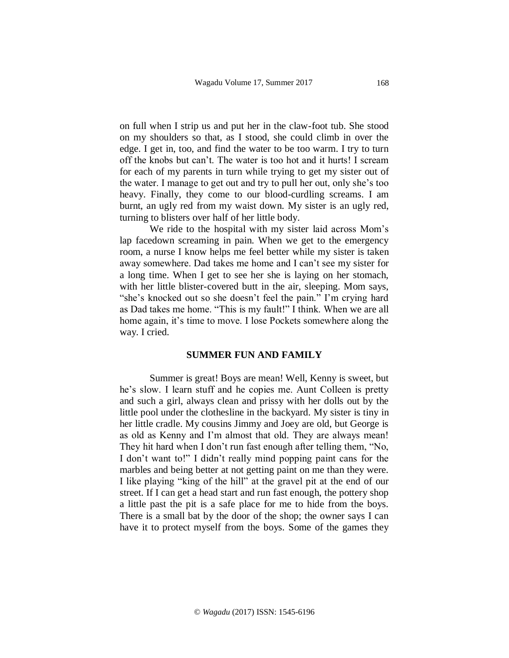on full when I strip us and put her in the claw-foot tub. She stood on my shoulders so that, as I stood, she could climb in over the edge. I get in, too, and find the water to be too warm. I try to turn off the knobs but can't. The water is too hot and it hurts! I scream for each of my parents in turn while trying to get my sister out of the water. I manage to get out and try to pull her out, only she's too heavy. Finally, they come to our blood-curdling screams. I am burnt, an ugly red from my waist down. My sister is an ugly red, turning to blisters over half of her little body.

 We ride to the hospital with my sister laid across Mom's lap facedown screaming in pain. When we get to the emergency room, a nurse I know helps me feel better while my sister is taken away somewhere. Dad takes me home and I can't see my sister for a long time. When I get to see her she is laying on her stomach, with her little blister-covered butt in the air, sleeping. Mom says, "she's knocked out so she doesn't feel the pain." I'm crying hard as Dad takes me home. "This is my fault!" I think. When we are all home again, it's time to move. I lose Pockets somewhere along the way. I cried.

#### **SUMMER FUN AND FAMILY**

Summer is great! Boys are mean! Well, Kenny is sweet, but he's slow. I learn stuff and he copies me. Aunt Colleen is pretty and such a girl, always clean and prissy with her dolls out by the little pool under the clothesline in the backyard. My sister is tiny in her little cradle. My cousins Jimmy and Joey are old, but George is as old as Kenny and I'm almost that old. They are always mean! They hit hard when I don't run fast enough after telling them, "No, I don't want to!" I didn't really mind popping paint cans for the marbles and being better at not getting paint on me than they were. I like playing "king of the hill" at the gravel pit at the end of our street. If I can get a head start and run fast enough, the pottery shop a little past the pit is a safe place for me to hide from the boys. There is a small bat by the door of the shop; the owner says I can have it to protect myself from the boys. Some of the games they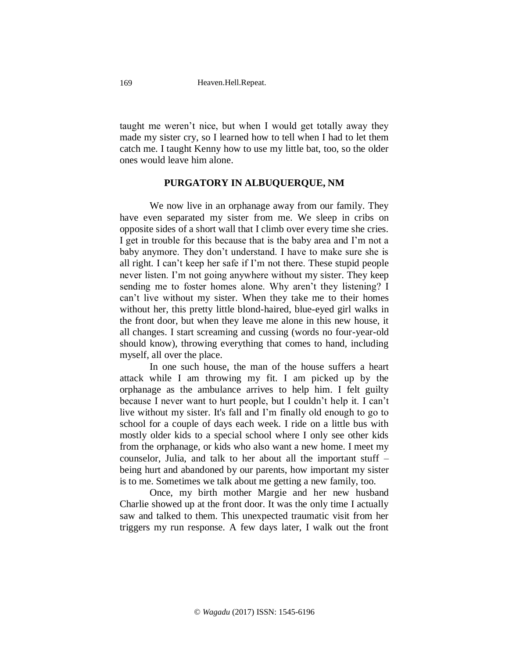taught me weren't nice, but when I would get totally away they made my sister cry, so I learned how to tell when I had to let them catch me. I taught Kenny how to use my little bat, too, so the older ones would leave him alone.

# **PURGATORY IN ALBUQUERQUE, NM**

We now live in an orphanage away from our family. They have even separated my sister from me. We sleep in cribs on opposite sides of a short wall that I climb over every time she cries. I get in trouble for this because that is the baby area and I'm not a baby anymore. They don't understand. I have to make sure she is all right. I can't keep her safe if I'm not there. These stupid people never listen. I'm not going anywhere without my sister. They keep sending me to foster homes alone. Why aren't they listening? I can't live without my sister. When they take me to their homes without her, this pretty little blond-haired, blue-eyed girl walks in the front door, but when they leave me alone in this new house, it all changes. I start screaming and cussing (words no four-year-old should know), throwing everything that comes to hand, including myself, all over the place.

In one such house, the man of the house suffers a heart attack while I am throwing my fit. I am picked up by the orphanage as the ambulance arrives to help him. I felt guilty because I never want to hurt people, but I couldn't help it. I can't live without my sister. It's fall and I'm finally old enough to go to school for a couple of days each week. I ride on a little bus with mostly older kids to a special school where I only see other kids from the orphanage, or kids who also want a new home. I meet my counselor, Julia, and talk to her about all the important stuff – being hurt and abandoned by our parents, how important my sister is to me. Sometimes we talk about me getting a new family, too.

Once, my birth mother Margie and her new husband Charlie showed up at the front door. It was the only time I actually saw and talked to them. This unexpected traumatic visit from her triggers my run response. A few days later, I walk out the front

169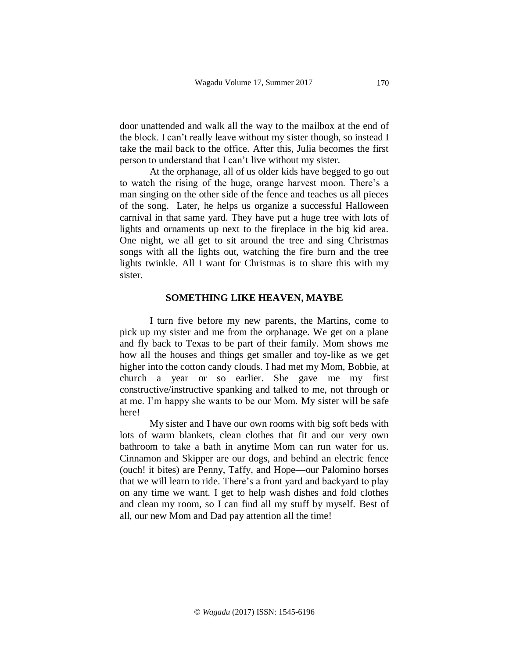door unattended and walk all the way to the mailbox at the end of the block. I can't really leave without my sister though, so instead I take the mail back to the office. After this, Julia becomes the first person to understand that I can't live without my sister.

At the orphanage, all of us older kids have begged to go out to watch the rising of the huge, orange harvest moon. There's a man singing on the other side of the fence and teaches us all pieces of the song. Later, he helps us organize a successful Halloween carnival in that same yard. They have put a huge tree with lots of lights and ornaments up next to the fireplace in the big kid area. One night, we all get to sit around the tree and sing Christmas songs with all the lights out, watching the fire burn and the tree lights twinkle. All I want for Christmas is to share this with my sister.

## **SOMETHING LIKE HEAVEN, MAYBE**

I turn five before my new parents, the Martins, come to pick up my sister and me from the orphanage. We get on a plane and fly back to Texas to be part of their family. Mom shows me how all the houses and things get smaller and toy-like as we get higher into the cotton candy clouds. I had met my Mom, Bobbie, at church a year or so earlier. She gave me my first constructive/instructive spanking and talked to me, not through or at me. I'm happy she wants to be our Mom. My sister will be safe here!

My sister and I have our own rooms with big soft beds with lots of warm blankets, clean clothes that fit and our very own bathroom to take a bath in anytime Mom can run water for us. Cinnamon and Skipper are our dogs, and behind an electric fence (ouch! it bites) are Penny, Taffy, and Hope—our Palomino horses that we will learn to ride. There's a front yard and backyard to play on any time we want. I get to help wash dishes and fold clothes and clean my room, so I can find all my stuff by myself. Best of all, our new Mom and Dad pay attention all the time!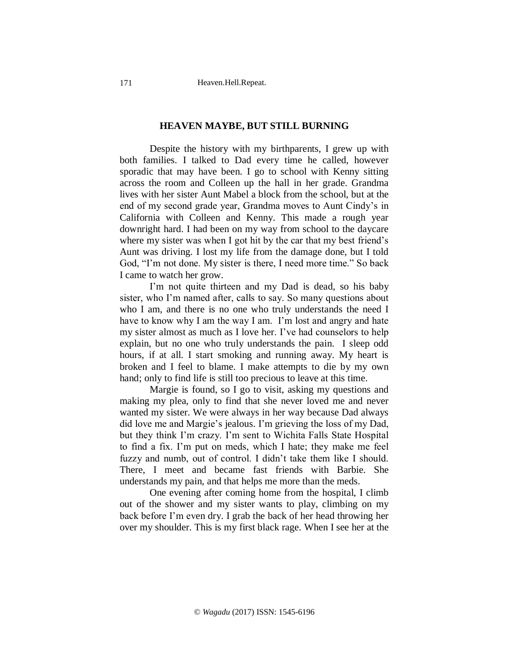#### **HEAVEN MAYBE, BUT STILL BURNING**

Despite the history with my birthparents, I grew up with both families. I talked to Dad every time he called, however sporadic that may have been. I go to school with Kenny sitting across the room and Colleen up the hall in her grade. Grandma lives with her sister Aunt Mabel a block from the school, but at the end of my second grade year, Grandma moves to Aunt Cindy's in California with Colleen and Kenny. This made a rough year downright hard. I had been on my way from school to the daycare where my sister was when I got hit by the car that my best friend's Aunt was driving. I lost my life from the damage done, but I told God, "I'm not done. My sister is there, I need more time." So back I came to watch her grow.

 I'm not quite thirteen and my Dad is dead, so his baby sister, who I'm named after, calls to say. So many questions about who I am, and there is no one who truly understands the need I have to know why I am the way I am. I'm lost and angry and hate my sister almost as much as I love her. I've had counselors to help explain, but no one who truly understands the pain. I sleep odd hours, if at all. I start smoking and running away. My heart is broken and I feel to blame. I make attempts to die by my own hand; only to find life is still too precious to leave at this time.

 Margie is found, so I go to visit, asking my questions and making my plea, only to find that she never loved me and never wanted my sister. We were always in her way because Dad always did love me and Margie's jealous. I'm grieving the loss of my Dad, but they think I'm crazy. I'm sent to Wichita Falls State Hospital to find a fix. I'm put on meds, which I hate; they make me feel fuzzy and numb, out of control. I didn't take them like I should. There, I meet and became fast friends with Barbie. She understands my pain, and that helps me more than the meds.

 One evening after coming home from the hospital, I climb out of the shower and my sister wants to play, climbing on my back before I'm even dry. I grab the back of her head throwing her over my shoulder. This is my first black rage. When I see her at the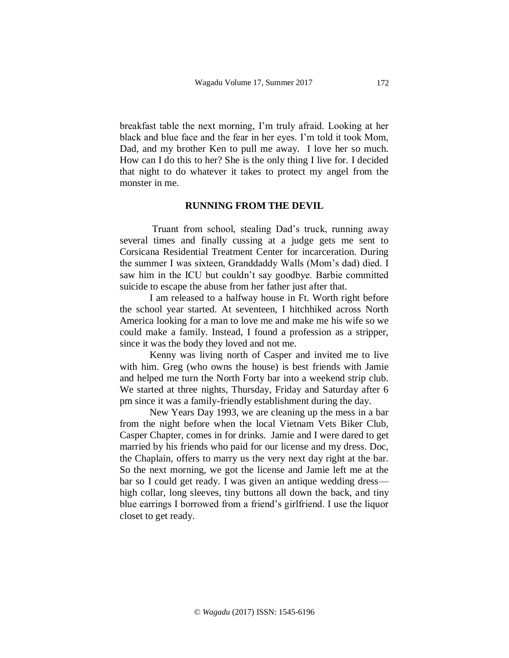breakfast table the next morning, I'm truly afraid. Looking at her black and blue face and the fear in her eyes. I'm told it took Mom, Dad, and my brother Ken to pull me away. I love her so much. How can I do this to her? She is the only thing I live for. I decided that night to do whatever it takes to protect my angel from the monster in me.

### **RUNNING FROM THE DEVIL**

Truant from school, stealing Dad's truck, running away several times and finally cussing at a judge gets me sent to Corsicana Residential Treatment Center for incarceration. During the summer I was sixteen, Granddaddy Walls (Mom's dad) died. I saw him in the ICU but couldn't say goodbye. Barbie committed suicide to escape the abuse from her father just after that.

 I am released to a halfway house in Ft. Worth right before the school year started. At seventeen, I hitchhiked across North America looking for a man to love me and make me his wife so we could make a family. Instead, I found a profession as a stripper, since it was the body they loved and not me.

 Kenny was living north of Casper and invited me to live with him. Greg (who owns the house) is best friends with Jamie and helped me turn the North Forty bar into a weekend strip club. We started at three nights, Thursday, Friday and Saturday after 6 pm since it was a family-friendly establishment during the day.

 New Years Day 1993, we are cleaning up the mess in a bar from the night before when the local Vietnam Vets Biker Club, Casper Chapter, comes in for drinks. Jamie and I were dared to get married by his friends who paid for our license and my dress. Doc, the Chaplain, offers to marry us the very next day right at the bar. So the next morning, we got the license and Jamie left me at the bar so I could get ready. I was given an antique wedding dress high collar, long sleeves, tiny buttons all down the back, and tiny blue earrings I borrowed from a friend's girlfriend. I use the liquor closet to get ready.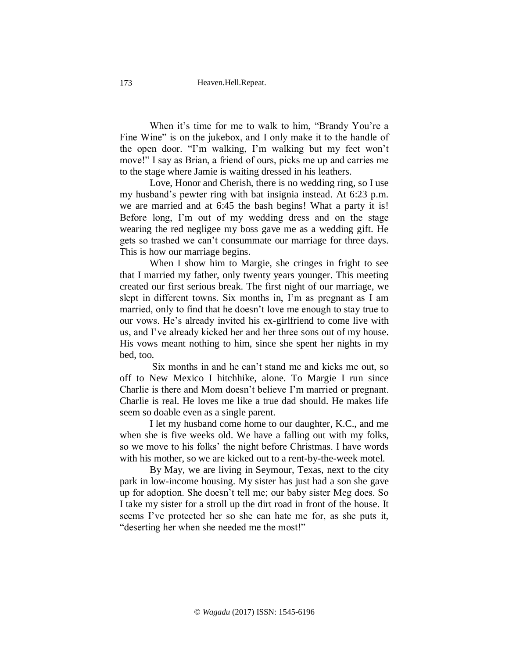When it's time for me to walk to him, "Brandy You're a Fine Wine" is on the jukebox, and I only make it to the handle of the open door. "I'm walking, I'm walking but my feet won't move!" I say as Brian, a friend of ours, picks me up and carries me to the stage where Jamie is waiting dressed in his leathers.

 Love, Honor and Cherish, there is no wedding ring, so I use my husband's pewter ring with bat insignia instead. At 6:23 p.m. we are married and at 6:45 the bash begins! What a party it is! Before long, I'm out of my wedding dress and on the stage wearing the red negligee my boss gave me as a wedding gift. He gets so trashed we can't consummate our marriage for three days. This is how our marriage begins.

When I show him to Margie, she cringes in fright to see that I married my father, only twenty years younger. This meeting created our first serious break. The first night of our marriage, we slept in different towns. Six months in, I'm as pregnant as I am married, only to find that he doesn't love me enough to stay true to our vows. He's already invited his ex-girlfriend to come live with us, and I've already kicked her and her three sons out of my house. His vows meant nothing to him, since she spent her nights in my bed, too.

Six months in and he can't stand me and kicks me out, so off to New Mexico I hitchhike, alone. To Margie I run since Charlie is there and Mom doesn't believe I'm married or pregnant. Charlie is real. He loves me like a true dad should. He makes life seem so doable even as a single parent.

 I let my husband come home to our daughter, K.C., and me when she is five weeks old. We have a falling out with my folks, so we move to his folks' the night before Christmas. I have words with his mother, so we are kicked out to a rent-by-the-week motel.

By May, we are living in Seymour, Texas, next to the city park in low-income housing. My sister has just had a son she gave up for adoption. She doesn't tell me; our baby sister Meg does. So I take my sister for a stroll up the dirt road in front of the house. It seems I've protected her so she can hate me for, as she puts it, "deserting her when she needed me the most!"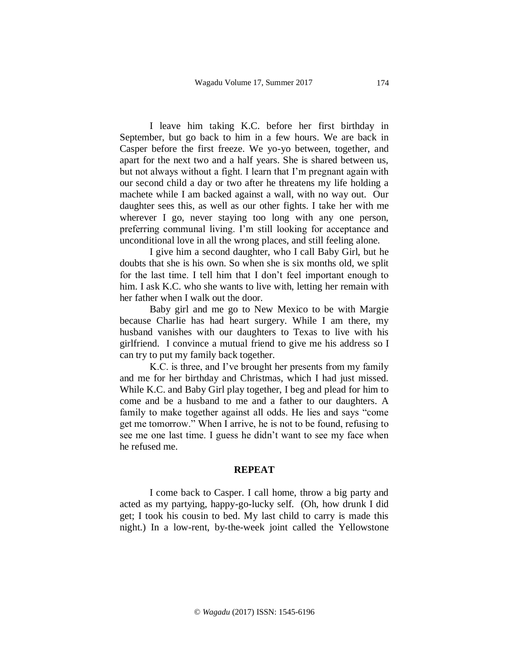I leave him taking K.C. before her first birthday in September, but go back to him in a few hours. We are back in Casper before the first freeze. We yo-yo between, together, and apart for the next two and a half years. She is shared between us, but not always without a fight. I learn that I'm pregnant again with our second child a day or two after he threatens my life holding a machete while I am backed against a wall, with no way out. Our daughter sees this, as well as our other fights. I take her with me wherever I go, never staying too long with any one person, preferring communal living. I'm still looking for acceptance and unconditional love in all the wrong places, and still feeling alone.

 I give him a second daughter, who I call Baby Girl, but he doubts that she is his own. So when she is six months old, we split for the last time. I tell him that I don't feel important enough to him. I ask K.C. who she wants to live with, letting her remain with her father when I walk out the door.

 Baby girl and me go to New Mexico to be with Margie because Charlie has had heart surgery. While I am there, my husband vanishes with our daughters to Texas to live with his girlfriend. I convince a mutual friend to give me his address so I can try to put my family back together.

K.C. is three, and I've brought her presents from my family and me for her birthday and Christmas, which I had just missed. While K.C. and Baby Girl play together, I beg and plead for him to come and be a husband to me and a father to our daughters. A family to make together against all odds. He lies and says "come get me tomorrow." When I arrive, he is not to be found, refusing to see me one last time. I guess he didn't want to see my face when he refused me.

#### **REPEAT**

I come back to Casper. I call home, throw a big party and acted as my partying, happy-go-lucky self. (Oh, how drunk I did get; I took his cousin to bed. My last child to carry is made this night.) In a low-rent, by-the-week joint called the Yellowstone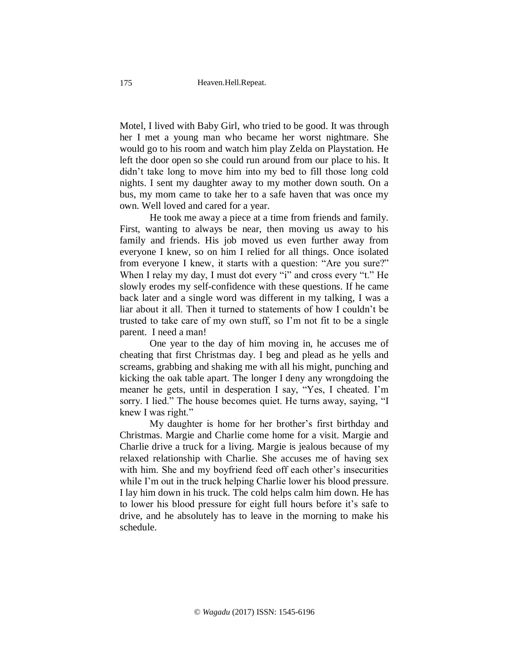Motel, I lived with Baby Girl, who tried to be good. It was through her I met a young man who became her worst nightmare. She would go to his room and watch him play Zelda on Playstation. He left the door open so she could run around from our place to his. It didn't take long to move him into my bed to fill those long cold nights. I sent my daughter away to my mother down south. On a bus, my mom came to take her to a safe haven that was once my own. Well loved and cared for a year.

 He took me away a piece at a time from friends and family. First, wanting to always be near, then moving us away to his family and friends. His job moved us even further away from everyone I knew, so on him I relied for all things. Once isolated from everyone I knew, it starts with a question: "Are you sure?" When I relay my day, I must dot every "i" and cross every "t." He slowly erodes my self-confidence with these questions. If he came back later and a single word was different in my talking, I was a liar about it all. Then it turned to statements of how I couldn't be trusted to take care of my own stuff, so I'm not fit to be a single parent. I need a man!

 One year to the day of him moving in, he accuses me of cheating that first Christmas day. I beg and plead as he yells and screams, grabbing and shaking me with all his might, punching and kicking the oak table apart. The longer I deny any wrongdoing the meaner he gets, until in desperation I say, "Yes, I cheated. I'm sorry. I lied." The house becomes quiet. He turns away, saying, "I knew I was right."

 My daughter is home for her brother's first birthday and Christmas. Margie and Charlie come home for a visit. Margie and Charlie drive a truck for a living. Margie is jealous because of my relaxed relationship with Charlie. She accuses me of having sex with him. She and my boyfriend feed off each other's insecurities while I'm out in the truck helping Charlie lower his blood pressure. I lay him down in his truck. The cold helps calm him down. He has to lower his blood pressure for eight full hours before it's safe to drive, and he absolutely has to leave in the morning to make his schedule.